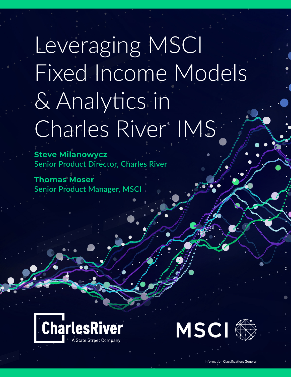# Leveraging MSCI [Fixed Income Models](https://www.crd.com/fixedincome-assets/) & Analytics in Charles River<sup>®</sup> IMS

**Steve Milanowycz Senior Product Director, Charles River**

**Thomas Moser Senior Product Manager, MSCI**





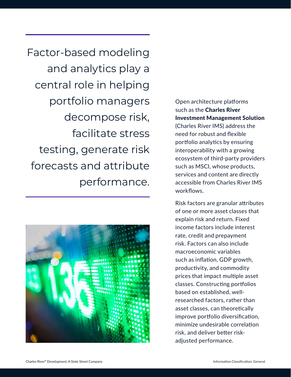Factor-based modeling and analytics play a central role in helping portfolio managers decompose risk, facilitate stress testing, generate risk forecasts and attribute performance.



# Open architecture platforms such as the Charles River Investment Management Solution

(Charles River IMS) address the need for robust and flexible portfolio analytics by ensuring interoperability with a growing ecosystem of third-party providers such as MSCI, whose products, services and content are directly accessible from Charles River IMS workflows.

Risk factors are granular attributes of one or more asset classes that explain risk and return. Fixed income factors include interest rate, credit and prepayment risk. Factors can also include macroeconomic variables such as inflation, GDP growth, productivity, and commodity prices that impact multiple asset classes. Constructing portfolios based on established, wellresearched factors, rather than asset classes, can theoretically improve portfolio diversification, minimize undesirable correlation risk, and deliver better riskadjusted performance.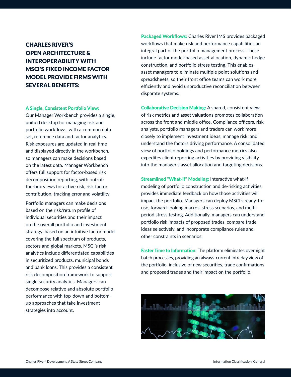# CHARLES RIVER'S OPEN ARCHITECTURE & INTEROPERABILITY WITH MSCI'S FIXED INCOME FACTOR MODEL PROVIDE FIRMS WITH SEVERAL BENEFITS:

### A Single, Consistent Portfolio View:

Our Manager Workbench provides a single, unified desktop for managing risk and portfolio workflows, with a common data set, reference data and factor analytics. Risk exposures are updated in real time and displayed directly in the workbench, so managers can make decisions based on the latest data. Manager Workbench offers full support for factor-based risk decomposition reporting, with out-ofthe-box views for active risk, risk factor contribution, tracking error and volatility.

Portfolio managers can make decisions based on the risk/return profile of individual securities and their impact on the overall portfolio and investment strategy, based on an intuitive factor model covering the full spectrum of products, sectors and global markets. MSCI's risk analytics include differentiated capabilities in securitized products, municipal bonds and bank loans. This provides a consistent risk decomposition framework to support single security analytics. Managers can decompose relative and absolute portfolio performance with top-down and bottomup approaches that take investment strategies into account.

Packaged Workflows: Charles River IMS provides packaged workflows that make risk and performance capabilities an integral part of the portfolio management process. These include factor model-based asset allocation, dynamic hedge construction, and portfolio stress testing. This enables asset managers to eliminate multiple point solutions and spreadsheets, so their front office teams can work more efficiently and avoid unproductive reconciliation between disparate systems.

Collaborative Decision Making: A shared, consistent view of risk metrics and asset valuations promotes collaboration across the front and middle office. Compliance officers, risk analysts, portfolio managers and traders can work more closely to implement investment ideas, manage risk, and understand the factors driving performance. A consolidated view of portfolio holdings and performance metrics also expedites client reporting activities by providing visibility into the manager's asset allocation and targeting decisions.

Streamlined "What-if" Modeling: Interactive what-if modeling of portfolio construction and de-risking activities provides immediate feedback on how those activities will impact the portfolio. Managers can deploy MSCI's ready-touse, forward-looking macros, stress scenarios, and multiperiod stress testing. Additionally, managers can understand portfolio risk impacts of proposed trades, compare trade ideas selectively, and incorporate compliance rules and other constraints in scenarios.

Faster Time to Information: The platform eliminates overnight batch processes, providing an always-current intraday view of the portfolio, inclusive of new securities, trade confirmations and proposed trades and their impact on the portfolio.

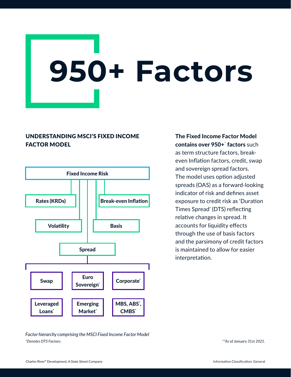# **950+ Factors**

# UNDERSTANDING MSCI'S FIXED INCOME FACTOR MODEL



The Fixed Income Factor Model contains over 950+ factors such as term structure factors, breakeven Inflation factors, credit, swap and sovereign spread factors. The model uses option adjusted spreads (OAS) as a forward-looking indicator of risk and defines asset exposure to credit risk as 'Duration Times Spread' (DTS) reflecting relative changes in spread. It accounts for liquidity effects through the use of basis factors and the parsimony of credit factors is maintained to allow for easier interpretation.

*Factor hierarchy comprising the MSCI Fixed Income Factor Model \*Denotes DTS Factors.* 

*\*\*As of January 31st 2021.*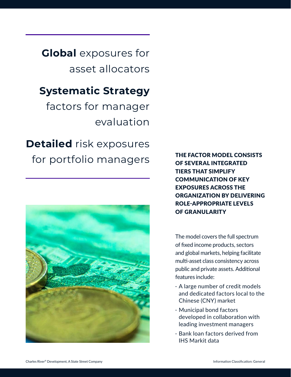**Global** exposures for asset allocators

# **Systematic Strategy**

factors for manager evaluation

**Detailed** risk exposures for portfolio managers



THE FACTOR MODEL CONSISTS OF SEVERAL INTEGRATED TIERS THAT SIMPLIFY COMMUNICATION OF KEY EXPOSURES ACROSS THE ORGANIZATION BY DELIVERING ROLE-APPROPRIATE LEVELS OF GRANULARITY

The model covers the full spectrum of fixed income products, sectors and global markets, helping facilitate multi-asset class consistency across public and private assets. Additional features include:

- · A large number of credit models and dedicated factors local to the Chinese (CNY) market
- · Municipal bond factors developed in collaboration with leading investment managers
- · Bank loan factors derived from IHS Markit data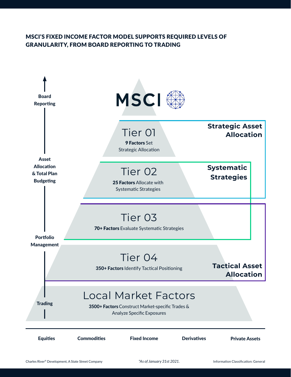# MSCI'S FIXED INCOME FACTOR MODEL SUPPORTS REQUIRED LEVELS OF GRANULARITY, FROM BOARD REPORTING TO TRADING



*\*As of January 31st 2021.*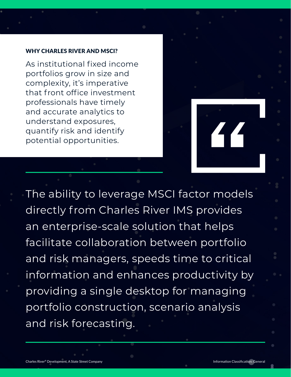## WHY CHARLES RIVER AND MSCI?

As institutional fixed income portfolios grow in size and complexity, it's imperative that front office investment professionals have timely and accurate analytics to understand exposures, quantify risk and identify potential opportunities.

The ability to leverage MSCI factor models directly from Charles River IMS provides an enterprise-scale solution that helps facilitate collaboration between portfolio and risk managers, speeds time to critical information and enhances productivity by providing a single desktop for managing portfolio construction, scenario analysis and risk forecasting.